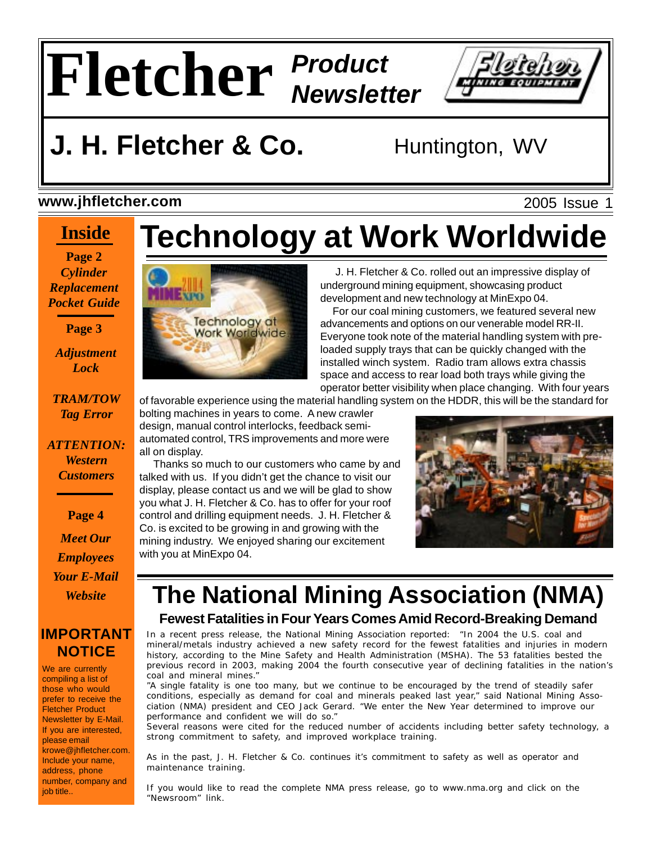

## **J. H. Fletcher & Co.** Huntington, WV

### **www.jhfletcher.com**

## **Inside**

**Page 2** *Cylinder Replacement Pocket Guide*

**Page 3**

*Adjustment Lock*

*TRAM/TOW Tag Error*

*ATTENTION: Western Customers*

**Page 4**

*Meet Our Employees Your E-Mail Website*

### **IMPORTANT NOTICE**

We are currently compiling a list of those who would prefer to receive the Fletcher Product Newsletter by E-Mail. If you are interested, please email krowe@jhfletcher.com. Include your name, address, phone number, company and job title..

# **Technology at Work Worldwide**



 J. H. Fletcher & Co. rolled out an impressive display of underground mining equipment, showcasing product development and new technology at MinExpo 04.

 For our coal mining customers, we featured several new advancements and options on our venerable model RR-II. Everyone took note of the material handling system with preloaded supply trays that can be quickly changed with the installed winch system. Radio tram allows extra chassis space and access to rear load both trays while giving the operator better visibility when place changing. With four years

of favorable experience using the material handling system on the HDDR, this will be the standard for

bolting machines in years to come. A new crawler design, manual control interlocks, feedback semiautomated control, TRS improvements and more were all on display.

 Thanks so much to our customers who came by and talked with us. If you didn't get the chance to visit our display, please contact us and we will be glad to show you what J. H. Fletcher & Co. has to offer for your roof control and drilling equipment needs. J. H. Fletcher & Co. is excited to be growing in and growing with the mining industry. We enjoyed sharing our excitement with you at MinExpo 04.



## **The National Mining Association (NMA) Fewest Fatalities in Four Years Comes Amid Record-Breaking Demand**

In a recent press release, the National Mining Association reported: "In 2004 the U.S. coal and mineral/metals industry achieved a new safety record for the fewest fatalities and injuries in modern history, according to the Mine Safety and Health Administration (MSHA). The 53 fatalities bested the previous record in 2003, making 2004 the fourth consecutive year of declining fatalities in the nation's coal and mineral mines."

"A single fatality is one too many, but we continue to be encouraged by the trend of steadily safer conditions, especially as demand for coal and minerals peaked last year," said National Mining Association (NMA) president and CEO Jack Gerard. "We enter the New Year determined to improve our performance and confident we will do so."

Several reasons were cited for the reduced number of accidents including better safety technology, a strong commitment to safety, and improved workplace training.

As in the past, J. H. Fletcher & Co. continues it's commitment to safety as well as operator and maintenance training.

If you would like to read the complete NMA press release, go to www.nma.org and click on the "Newsroom" link.

### 2005 Issue 1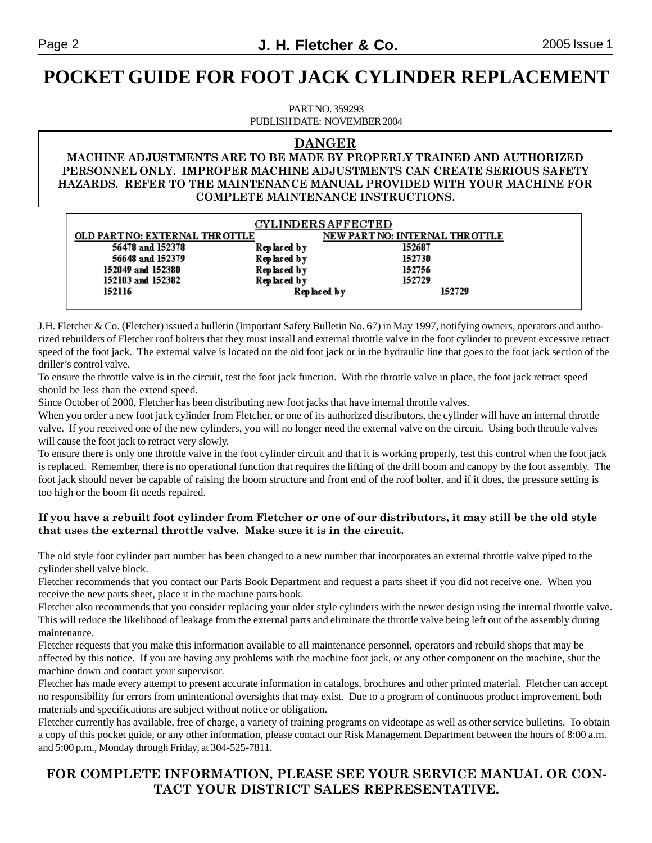## **POCKET GUIDE FOR FOOT JACK CYLINDER REPLACEMENT**

PART NO. 359293 PUBLISH DATE: NOVEMBER 2004

#### **DANGER**

#### **MACHINE ADJUSTMENTS ARE TO BE MADE BY PROPERLY TRAINED AND AUTHORIZED PERSONNEL ONLY. IMPROPER MACHINE ADJUSTMENTS CAN CREATE SERIOUS SAFETY HAZARDS. REFER TO THE MAINTENANCE MANUAL PROVIDED WITH YOUR MACHINE FOR COMPLETE MAINTENANCE INSTRUCTIONS.**

| <b>CYLINDERS AFFECTED</b>      |             |                                |
|--------------------------------|-------------|--------------------------------|
| OLD PART NO: EXTERNAL THROTTLE |             | NEW PART NO: INTERNAL THROTTLE |
| 56478 and 152378               | Replaced by | 152687                         |
| 56648 and 152379               | Replaced by | 152730                         |
| 152049 and 152380              | Replaced by | 152756                         |
| 152103 and 152382              | Replaced by | 152729                         |
| 152116                         |             | Replaced by<br>152729          |
|                                |             |                                |

J.H. Fletcher & Co. (Fletcher) issued a bulletin (Important Safety Bulletin No. 67) in May 1997, notifying owners, operators and authorized rebuilders of Fletcher roof bolters that they must install and external throttle valve in the foot cylinder to prevent excessive retract speed of the foot jack. The external valve is located on the old foot jack or in the hydraulic line that goes to the foot jack section of the driller's control valve.

To ensure the throttle valve is in the circuit, test the foot jack function. With the throttle valve in place, the foot jack retract speed should be less than the extend speed.

Since October of 2000, Fletcher has been distributing new foot jacks that have internal throttle valves.

When you order a new foot jack cylinder from Fletcher, or one of its authorized distributors, the cylinder will have an internal throttle valve. If you received one of the new cylinders, you will no longer need the external valve on the circuit. Using both throttle valves will cause the foot jack to retract very slowly.

To ensure there is only one throttle valve in the foot cylinder circuit and that it is working properly, test this control when the foot jack is replaced. Remember, there is no operational function that requires the lifting of the drill boom and canopy by the foot assembly. The foot jack should never be capable of raising the boom structure and front end of the roof bolter, and if it does, the pressure setting is too high or the boom fit needs repaired.

#### **If you have a rebuilt foot cylinder from Fletcher or one of our distributors, it may still be the old style that uses the external throttle valve. Make sure it is in the circuit.**

The old style foot cylinder part number has been changed to a new number that incorporates an external throttle valve piped to the cylinder shell valve block.

Fletcher recommends that you contact our Parts Book Department and request a parts sheet if you did not receive one. When you receive the new parts sheet, place it in the machine parts book.

Fletcher also recommends that you consider replacing your older style cylinders with the newer design using the internal throttle valve. This will reduce the likelihood of leakage from the external parts and eliminate the throttle valve being left out of the assembly during maintenance.

Fletcher requests that you make this information available to all maintenance personnel, operators and rebuild shops that may be affected by this notice. If you are having any problems with the machine foot jack, or any other component on the machine, shut the machine down and contact your supervisor.

Fletcher has made every attempt to present accurate information in catalogs, brochures and other printed material. Fletcher can accept no responsibility for errors from unintentional oversights that may exist. Due to a program of continuous product improvement, both materials and specifications are subject without notice or obligation.

Fletcher currently has available, free of charge, a variety of training programs on videotape as well as other service bulletins. To obtain a copy of this pocket guide, or any other information, please contact our Risk Management Department between the hours of 8:00 a.m. and 5:00 p.m., Monday through Friday, at 304-525-7811.

#### **FOR COMPLETE INFORMATION, PLEASE SEE YOUR SERVICE MANUAL OR CON-TACT YOUR DISTRICT SALES REPRESENTATIVE.**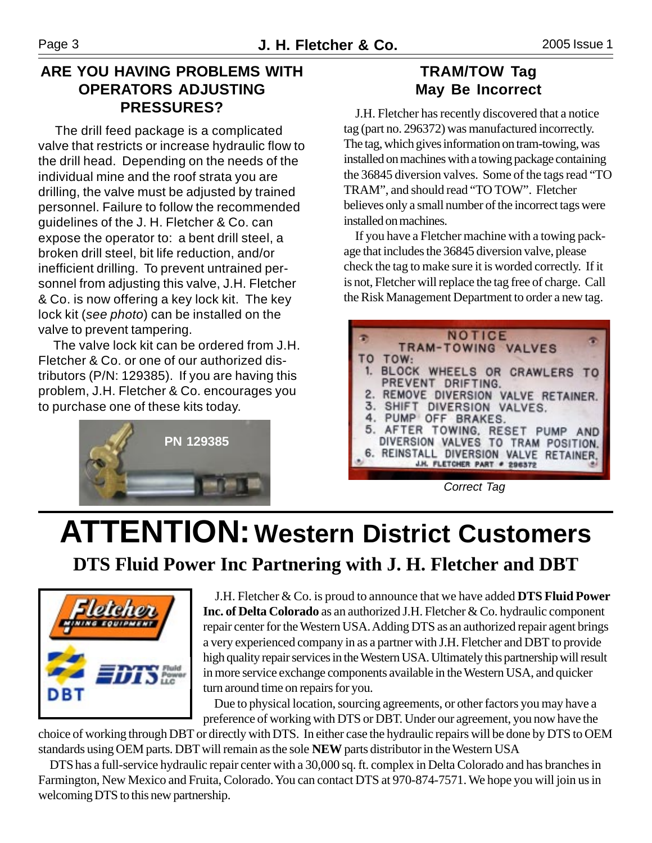### **ARE YOU HAVING PROBLEMS WITH OPERATORS ADJUSTING PRESSURES?**

 The drill feed package is a complicated valve that restricts or increase hydraulic flow to the drill head. Depending on the needs of the individual mine and the roof strata you are drilling, the valve must be adjusted by trained personnel. Failure to follow the recommended guidelines of the J. H. Fletcher & Co. can expose the operator to: a bent drill steel, a broken drill steel, bit life reduction, and/or inefficient drilling. To prevent untrained personnel from adjusting this valve, J.H. Fletcher & Co. is now offering a key lock kit. The key lock kit (*see photo*) can be installed on the valve to prevent tampering.

 The valve lock kit can be ordered from J.H. Fletcher & Co. or one of our authorized distributors (P/N: 129385). If you are having this problem, J.H. Fletcher & Co. encourages you to purchase one of these kits today.



### **TRAM/TOW Tag May Be Incorrect**

 J.H. Fletcher has recently discovered that a notice tag (part no. 296372) was manufactured incorrectly. The tag, which gives information on tram-towing, was installed on machines with a towing package containing the 36845 diversion valves. Some of the tags read "TO TRAM", and should read "TO TOW". Fletcher believes only a small number of the incorrect tags were installed on machines.

 If you have a Fletcher machine with a towing package that includes the 36845 diversion valve, please check the tag to make sure it is worded correctly. If it is not, Fletcher will replace the tag free of charge. Call the Risk Management Department to order a new tag.



*Correct Tag*

# **ATTENTION: Western District Customers DTS Fluid Power Inc Partnering with J. H. Fletcher and DBT**



 J.H. Fletcher & Co. is proud to announce that we have added **DTS Fluid Power Inc. of Delta Colorado** as an authorized J.H. Fletcher & Co. hydraulic component repair center for the Western USA. Adding DTS as an authorized repair agent brings a very experienced company in as a partner with J.H. Fletcher and DBT to provide high quality repair services in the Western USA. Ultimately this partnership will result in more service exchange components available in the Western USA, and quicker turn around time on repairs for you.

 Due to physical location, sourcing agreements, or other factors you may have a preference of working with DTS or DBT. Under our agreement, you now have the

choice of working through DBT or directly with DTS. In either case the hydraulic repairs will be done by DTS to OEM standards using OEM parts. DBT will remain as the sole **NEW** parts distributor in the Western USA

 DTShas a full-service hydraulic repair center with a 30,000 sq. ft. complex in Delta Colorado and has branches in Farmington, New Mexico and Fruita, Colorado. You can contact DTS at 970-874-7571. We hope you will join us in welcoming DTS to this new partnership.